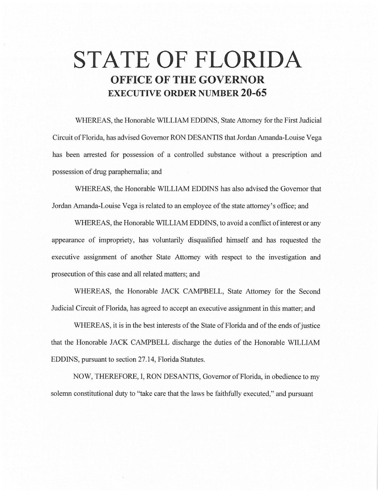# **STATE OF FLORIDA OFFICE OF THE GOVERNOR EXECUTIVE ORDER NUMBER 20-65**

WHEREAS, the Honorable WILLIAM EDDINS, State Attorney for the First Judicial Circuit of Florida, has advised Governor RON DESANTIS that Jordan Amanda-Louise Vega has been arrested for possession of a controlled substance without a prescription and possession of drug paraphernalia; and

WHEREAS, the Honorable WILLIAM EDDINS has also advised the Governor that Jordan Amanda-Louise Vega is related to an employee of the state attorney's office; and

WHEREAS, the Honorable WILLIAM EDDINS, to avoid a conflict of interest or any appearance of impropriety, has voluntarily disqualified himself and has requested the executive assignment of another State Attorney with respect to the investigation and prosecution of this case and all related matters; and

WHEREAS, the Honorable JACK CAMPBELL, State Attorney for the Second Judicial Circuit of Florida, has agreed to accept an executive assignment in this matter; and

WHEREAS, it is in the best interests of the State of Florida and of the ends of justice that the Honorable JACK CAMPBELL discharge the duties of the Honorable WILLIAM EDDINS, pursuant to section 27.14, Florida Statutes.

NOW, THEREFORE, I, RON DESANTIS, Governor of Florida, in obedience to my solemn constitutional duty to "take care that the laws be faithfully executed," and pursuant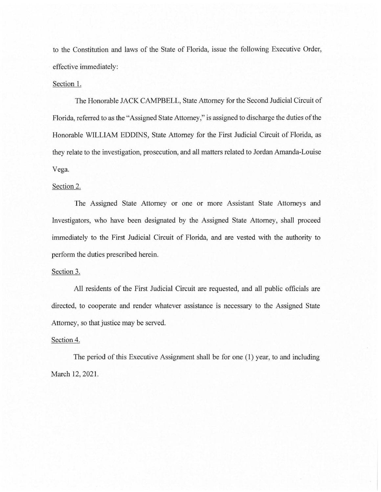to the Constitution and laws of the State of Florida, issue the following Executive Order, effective immediately:

#### Section 1.

The Honorable JACK CAMPBELL, State Attorney for the Second Judicial Circuit of Florida, referred to as the "Assigned State Attorney," is assigned to discharge the duties of the Honorable WILLIAM EDDINS, State Attorney for the First Judicial Circuit of Florida, as they relate to the investigation, prosecution, and all matters related to Jordan Amanda-Louise Vega.

# Section 2.

The Assigned State Attorney or one or more Assistant State Attorneys and Investigators, who have been designated by the Assigned State Attorney, shall proceed immediately to the First Judicial Circuit of Florida, and are vested with the authority to perform the duties prescribed herein.

## Section 3.

All residents of the First Judicial Circuit are requested, and all public officials are directed, to cooperate and render whatever assistance is necessary to the Assigned State Attorney, so that justice may be served.

## Section 4.

The period of this Executive Assignment shall be for one (I) year, to and including March 12, 2021.